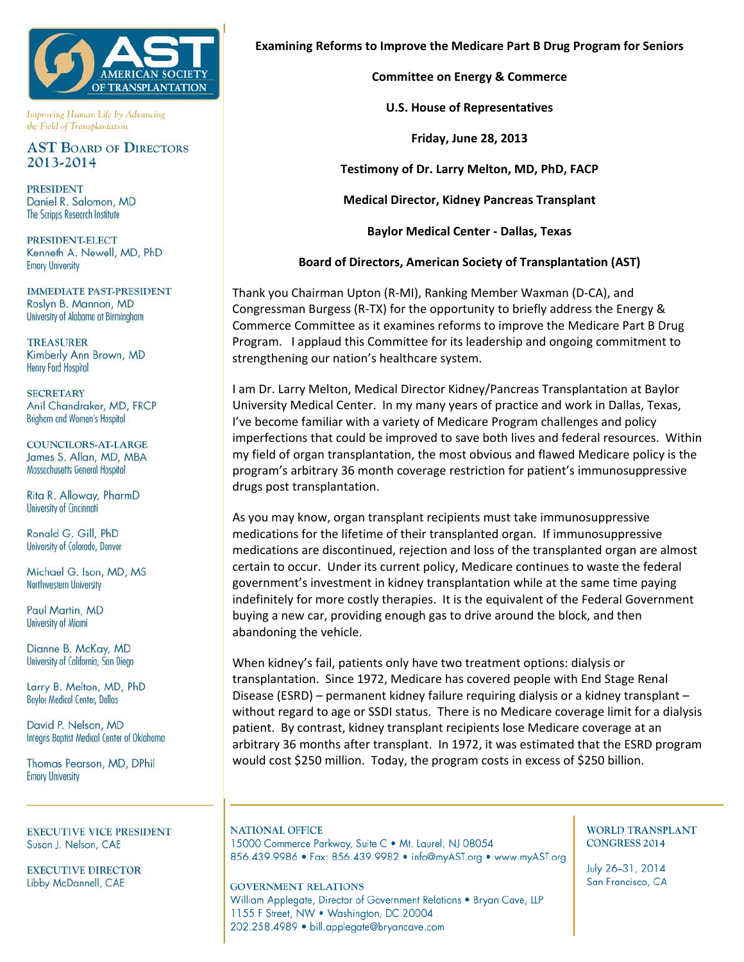

Improving Human Life by Advancing the Field of Transplantation

## **AST BOARD OF DIRECTORS** 2013-2014

**PRESIDENT** Daniel R. Salomon, MD The Scripps Research Institute

**PRESIDENT-ELECT** Kenneth A. Newell, MD, PhD **Emory University** 

**IMMEDIATE PAST-PRESIDENT** Roslyn B. Mannon, MD University of Alabama at Birmingham

**TREASURER** Kimberly Ann Brown, MD **Henry Ford Hospital** 

**SECRETARY** Anil Chandraker, MD, FRCP Brigham and Women's Hospital

COUNCILORS-AT-LARGE James S. Allan, MD, MBA Massachusetts General Hospital

Rita R. Alloway, PharmD **University of Cincinnati** 

Ronald G. Gill, PhD University of Colorado, Denver

Michael G. Ison, MD, MS Northwestern University

Paul Martin, MD University of Miami

Dianne B. McKay, MD University of California, San Diego

Larry B. Melton, MD, PhD **Baylor Medical Center, Dallas** 

David P. Nelson, MD Integris Baptist Medical Center of Oklahoma

Thomas Pearson, MD, DPhil **Emory University** 

**EXECUTIVE VICE PRESIDENT** Susan J. Nelson, CAE

**EXECUTIVE DIRECTOR** Libby McDannell, CAE

**Examining Reforms to Improve the Medicare Part B Drug Program for Seniors**

**Committee on Energy & Commerce**

**U.S. House of Representatives**

**Friday, June 28, 2013**

**Testimony of Dr. Larry Melton, MD, PhD, FACP**

**Medical Director, Kidney Pancreas Transplant**

**Baylor Medical Center ‐ Dallas, Texas**

**Board of Directors, American Society of Transplantation (AST)**

Thank you Chairman Upton (R‐MI), Ranking Member Waxman (D‐CA), and Congressman Burgess (R‐TX) for the opportunity to briefly address the Energy & Commerce Committee as it examines reforms to improve the Medicare Part B Drug Program. I applaud this Committee for its leadership and ongoing commitment to strengthening our nation's healthcare system.

I am Dr. Larry Melton, Medical Director Kidney/Pancreas Transplantation at Baylor University Medical Center. In my many years of practice and work in Dallas, Texas, I've become familiar with a variety of Medicare Program challenges and policy imperfections that could be improved to save both lives and federal resources. Within my field of organ transplantation, the most obvious and flawed Medicare policy is the program's arbitrary 36 month coverage restriction for patient's immunosuppressive drugs post transplantation.

As you may know, organ transplant recipients must take immunosuppressive medications for the lifetime of their transplanted organ. If immunosuppressive medications are discontinued, rejection and loss of the transplanted organ are almost certain to occur. Under its current policy, Medicare continues to waste the federal government's investment in kidney transplantation while at the same time paying indefinitely for more costly therapies. It is the equivalent of the Federal Government buying a new car, providing enough gas to drive around the block, and then abandoning the vehicle.

When kidney's fail, patients only have two treatment options: dialysis or transplantation. Since 1972, Medicare has covered people with End Stage Renal Disease (ESRD) – permanent kidney failure requiring dialysis or a kidney transplant – without regard to age or SSDI status. There is no Medicare coverage limit for a dialysis patient. By contrast, kidney transplant recipients lose Medicare coverage at an arbitrary 36 months after transplant. In 1972, it was estimated that the ESRD program would cost \$250 million. Today, the program costs in excess of \$250 billion.

**NATIONAL OFFICE** 15000 Commerce Parkway, Suite C · Mt. Laurel, NJ 08054 856.439.9986 · Fax: 856.439.9982 · info@myAST.org · www.myAST.org

**GOVERNMENT RELATIONS** William Applegate, Director of Government Relations . Bryan Cave, LLP 1155 F Street, NW . Washington, DC 20004 202.258.4989 · bill.applegate@bryancave.com

## **WORLD TRANSPLANT CONGRESS 2014**

July 26-31, 2014 San Francisco, CA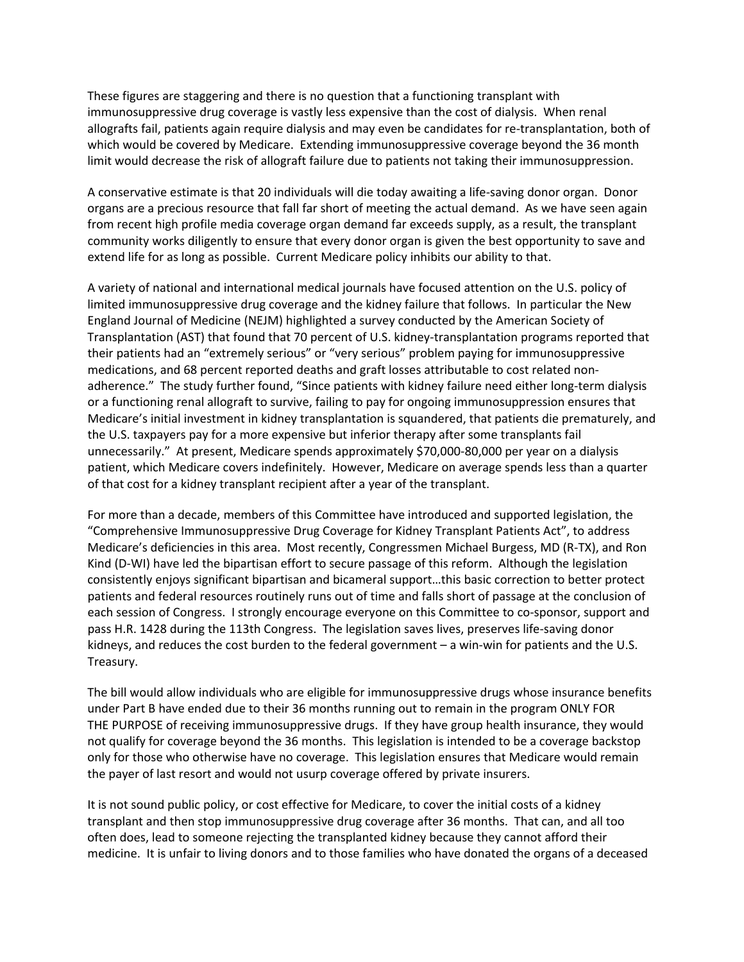These figures are staggering and there is no question that a functioning transplant with immunosuppressive drug coverage is vastly less expensive than the cost of dialysis. When renal allografts fail, patients again require dialysis and may even be candidates for re‐transplantation, both of which would be covered by Medicare. Extending immunosuppressive coverage beyond the 36 month limit would decrease the risk of allograft failure due to patients not taking their immunosuppression.

A conservative estimate is that 20 individuals will die today awaiting a life‐saving donor organ. Donor organs are a precious resource that fall far short of meeting the actual demand. As we have seen again from recent high profile media coverage organ demand far exceeds supply, as a result, the transplant community works diligently to ensure that every donor organ is given the best opportunity to save and extend life for as long as possible. Current Medicare policy inhibits our ability to that.

A variety of national and international medical journals have focused attention on the U.S. policy of limited immunosuppressive drug coverage and the kidney failure that follows. In particular the New England Journal of Medicine (NEJM) highlighted a survey conducted by the American Society of Transplantation (AST) that found that 70 percent of U.S. kidney‐transplantation programs reported that their patients had an "extremely serious" or "very serious" problem paying for immunosuppressive medications, and 68 percent reported deaths and graft losses attributable to cost related non‐ adherence." The study further found, "Since patients with kidney failure need either long-term dialysis or a functioning renal allograft to survive, failing to pay for ongoing immunosuppression ensures that Medicare's initial investment in kidney transplantation is squandered, that patients die prematurely, and the U.S. taxpayers pay for a more expensive but inferior therapy after some transplants fail unnecessarily." At present, Medicare spends approximately \$70,000‐80,000 per year on a dialysis patient, which Medicare covers indefinitely. However, Medicare on average spends less than a quarter of that cost for a kidney transplant recipient after a year of the transplant.

For more than a decade, members of this Committee have introduced and supported legislation, the "Comprehensive Immunosuppressive Drug Coverage for Kidney Transplant Patients Act", to address Medicare's deficiencies in this area. Most recently, Congressmen Michael Burgess, MD (R‐TX), and Ron Kind (D-WI) have led the bipartisan effort to secure passage of this reform. Although the legislation consistently enjoys significant bipartisan and bicameral support…this basic correction to better protect patients and federal resources routinely runs out of time and falls short of passage at the conclusion of each session of Congress. I strongly encourage everyone on this Committee to co-sponsor, support and pass H.R. 1428 during the 113th Congress. The legislation saves lives, preserves life-saving donor kidneys, and reduces the cost burden to the federal government – a win-win for patients and the U.S. Treasury.

The bill would allow individuals who are eligible for immunosuppressive drugs whose insurance benefits under Part B have ended due to their 36 months running out to remain in the program ONLY FOR THE PURPOSE of receiving immunosuppressive drugs. If they have group health insurance, they would not qualify for coverage beyond the 36 months. This legislation is intended to be a coverage backstop only for those who otherwise have no coverage. This legislation ensures that Medicare would remain the payer of last resort and would not usurp coverage offered by private insurers.

It is not sound public policy, or cost effective for Medicare, to cover the initial costs of a kidney transplant and then stop immunosuppressive drug coverage after 36 months. That can, and all too often does, lead to someone rejecting the transplanted kidney because they cannot afford their medicine. It is unfair to living donors and to those families who have donated the organs of a deceased